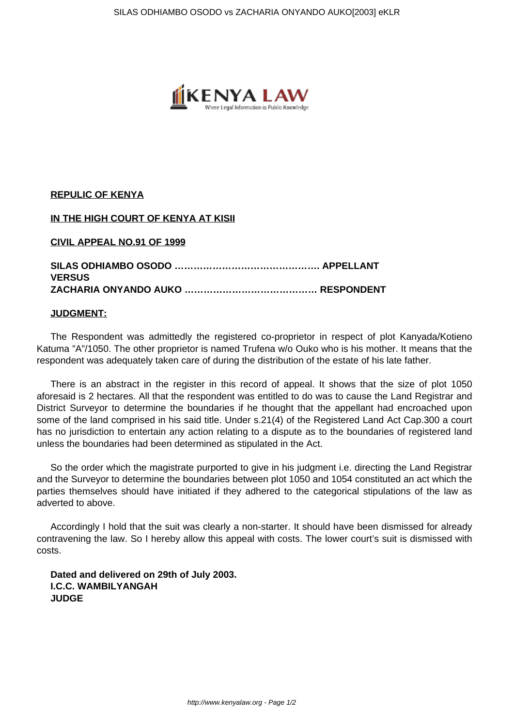

### **REPULIC OF KENYA**

# **IN THE HIGH COURT OF KENYA AT KISII**

#### **CIVIL APPEAL NO.91 OF 1999**

# **SILAS ODHIAMBO OSODO ………………………………………. APPELLANT VERSUS ZACHARIA ONYANDO AUKO …………………………………… RESPONDENT**

#### **JUDGMENT:**

The Respondent was admittedly the registered co-proprietor in respect of plot Kanyada/Kotieno Katuma "A"/1050. The other proprietor is named Trufena w/o Ouko who is his mother. It means that the respondent was adequately taken care of during the distribution of the estate of his late father.

There is an abstract in the register in this record of appeal. It shows that the size of plot 1050 aforesaid is 2 hectares. All that the respondent was entitled to do was to cause the Land Registrar and District Surveyor to determine the boundaries if he thought that the appellant had encroached upon some of the land comprised in his said title. Under s.21(4) of the Registered Land Act Cap.300 a court has no jurisdiction to entertain any action relating to a dispute as to the boundaries of registered land unless the boundaries had been determined as stipulated in the Act.

So the order which the magistrate purported to give in his judgment i.e. directing the Land Registrar and the Surveyor to determine the boundaries between plot 1050 and 1054 constituted an act which the parties themselves should have initiated if they adhered to the categorical stipulations of the law as adverted to above.

Accordingly I hold that the suit was clearly a non-starter. It should have been dismissed for already contravening the law. So I hereby allow this appeal with costs. The lower court's suit is dismissed with costs.

**Dated and delivered on 29th of July 2003. I.C.C. WAMBILYANGAH JUDGE**